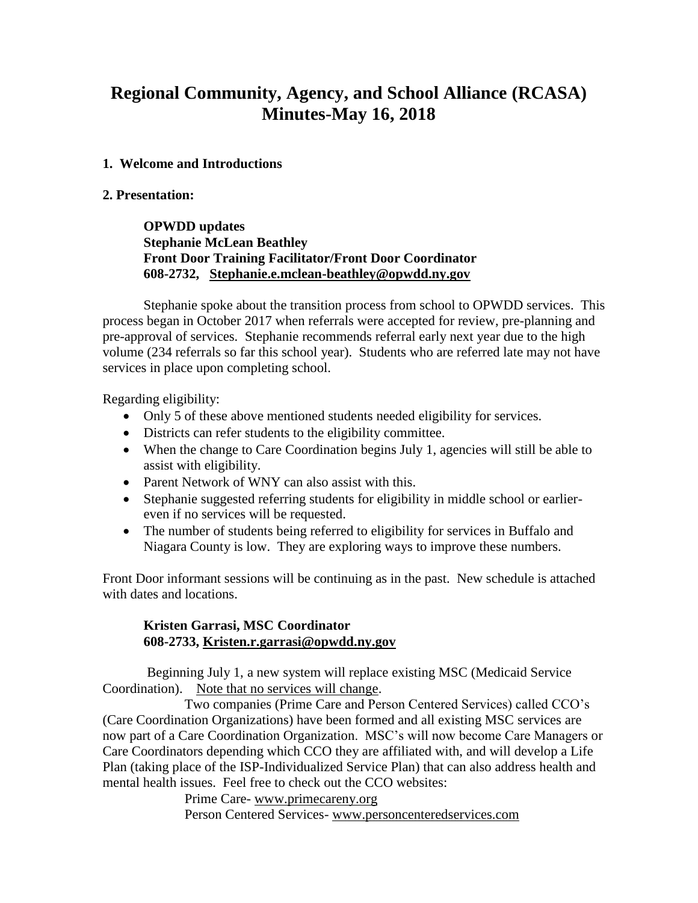# **Regional Community, Agency, and School Alliance (RCASA) Minutes-May 16, 2018**

#### **1. Welcome and Introductions**

#### **2. Presentation:**

**OPWDD updates Stephanie McLean Beathley Front Door Training Facilitator/Front Door Coordinator 608-2732, [Stephanie.e.mclean-beathley@opwdd.ny.gov](mailto:Stephanie.e.mclean-beathley@opwdd.ny.gov)**

Stephanie spoke about the transition process from school to OPWDD services. This process began in October 2017 when referrals were accepted for review, pre-planning and pre-approval of services. Stephanie recommends referral early next year due to the high volume (234 referrals so far this school year). Students who are referred late may not have services in place upon completing school.

Regarding eligibility:

- Only 5 of these above mentioned students needed eligibility for services.
- Districts can refer students to the eligibility committee.
- When the change to Care Coordination begins July 1, agencies will still be able to assist with eligibility.
- Parent Network of WNY can also assist with this.
- Stephanie suggested referring students for eligibility in middle school or earliereven if no services will be requested.
- The number of students being referred to eligibility for services in Buffalo and Niagara County is low. They are exploring ways to improve these numbers.

Front Door informant sessions will be continuing as in the past. New schedule is attached with dates and locations.

### **Kristen Garrasi, MSC Coordinator 608-2733, [Kristen.r.garrasi@opwdd.ny.gov](mailto:Kristen.r.garrasi@opwdd.ny.gov)**

Beginning July 1, a new system will replace existing MSC (Medicaid Service Coordination). Note that no services will change.

Two companies (Prime Care and Person Centered Services) called CCO's (Care Coordination Organizations) have been formed and all existing MSC services are now part of a Care Coordination Organization. MSC's will now become Care Managers or Care Coordinators depending which CCO they are affiliated with, and will develop a Life Plan (taking place of the ISP-Individualized Service Plan) that can also address health and mental health issues. Feel free to check out the CCO websites:

Prime Care- [www.primecareny.org](http://www.primecareny.org/) 

Person Centered Services- [www.personcenteredservices.com](http://www.personcenteredservices.com/)